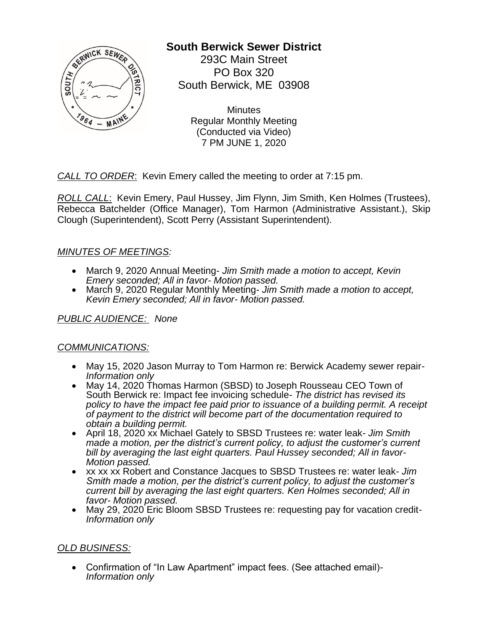

# **South Berwick Sewer District**

293C Main Street PO Box 320 South Berwick, ME 03908

> **Minutes** Regular Monthly Meeting (Conducted via Video) 7 PM JUNE 1, 2020

*CALL TO ORDER*: Kevin Emery called the meeting to order at 7:15 pm.

*ROLL CALL*: Kevin Emery, Paul Hussey, Jim Flynn, Jim Smith, Ken Holmes (Trustees), Rebecca Batchelder (Office Manager), Tom Harmon (Administrative Assistant.), Skip Clough (Superintendent), Scott Perry (Assistant Superintendent).

## *MINUTES OF MEETINGS:*

- March 9, 2020 Annual Meeting- *Jim Smith made a motion to accept, Kevin Emery seconded; All in favor- Motion passed.*
- March 9, 2020 Regular Monthly Meeting- *Jim Smith made a motion to accept, Kevin Emery seconded; All in favor- Motion passed.*

*PUBLIC AUDIENCE: None*

#### *COMMUNICATIONS:*

- May 15, 2020 Jason Murray to Tom Harmon re: Berwick Academy sewer repair-*Information only*
- May 14, 2020 Thomas Harmon (SBSD) to Joseph Rousseau CEO Town of South Berwick re: Impact fee invoicing schedule- *The district has revised its policy to have the impact fee paid prior to issuance of a building permit. A receipt of payment to the district will become part of the documentation required to obtain a building permit.*
- April 18, 2020 xx Michael Gately to SBSD Trustees re: water leak- *Jim Smith made a motion, per the district's current policy, to adjust the customer's current bill by averaging the last eight quarters. Paul Hussey seconded; All in favor-Motion passed.*
- xx xx xx Robert and Constance Jacques to SBSD Trustees re: water leak- *Jim Smith made a motion, per the district's current policy, to adjust the customer's current bill by averaging the last eight quarters. Ken Holmes seconded; All in favor- Motion passed.*
- May 29, 2020 Eric Bloom SBSD Trustees re: requesting pay for vacation credit-*Information only*

#### *OLD BUSINESS:*

• Confirmation of "In Law Apartment" impact fees. (See attached email)- *Information only*